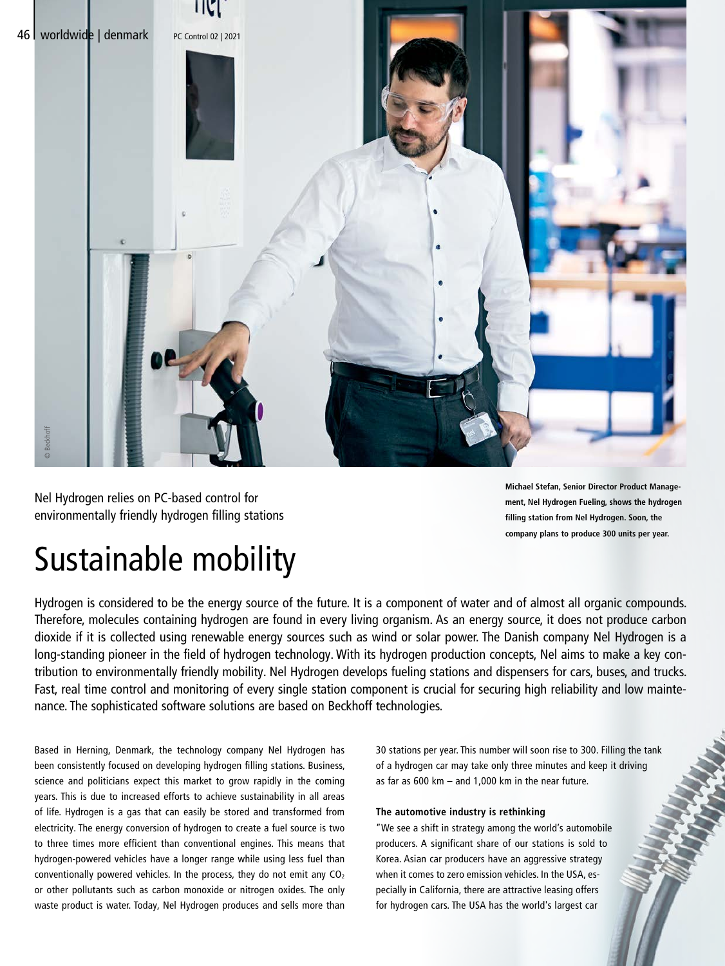

Nel Hydrogen relies on PC-based control for environmentally friendly hydrogen filling stations **Michael Stefan, Senior Director Product Management, Nel Hydrogen Fueling, shows the hydrogen filling station from Nel Hydrogen. Soon, the company plans to produce 300 units per year.**

# Sustainable mobility

Hydrogen is considered to be the energy source of the future. It is a component of water and of almost all organic compounds. Therefore, molecules containing hydrogen are found in every living organism. As an energy source, it does not produce carbon dioxide if it is collected using renewable energy sources such as wind or solar power. The Danish company Nel Hydrogen is a long-standing pioneer in the field of hydrogen technology. With its hydrogen production concepts, Nel aims to make a key contribution to environmentally friendly mobility. Nel Hydrogen develops fueling stations and dispensers for cars, buses, and trucks. Fast, real time control and monitoring of every single station component is crucial for securing high reliability and low maintenance. The sophisticated software solutions are based on Beckhoff technologies.

Based in Herning, Denmark, the technology company Nel Hydrogen has been consistently focused on developing hydrogen filling stations. Business, science and politicians expect this market to grow rapidly in the coming years. This is due to increased efforts to achieve sustainability in all areas of life. Hydrogen is a gas that can easily be stored and transformed from electricity. The energy conversion of hydrogen to create a fuel source is two to three times more efficient than conventional engines. This means that hydrogen-powered vehicles have a longer range while using less fuel than conventionally powered vehicles. In the process, they do not emit any  $CO<sub>2</sub>$ or other pollutants such as carbon monoxide or nitrogen oxides. The only waste product is water. Today, Nel Hydrogen produces and sells more than 30 stations per year. This number will soon rise to 300. Filling the tank of a hydrogen car may take only three minutes and keep it driving as far as 600 km – and 1,000 km in the near future.

### **The automotive industry is rethinking**

"We see a shift in strategy among the world's automobile producers. A significant share of our stations is sold to Korea. Asian car producers have an aggressive strategy when it comes to zero emission vehicles. In the USA, especially in California, there are attractive leasing offers for hydrogen cars. The USA has the world's largest car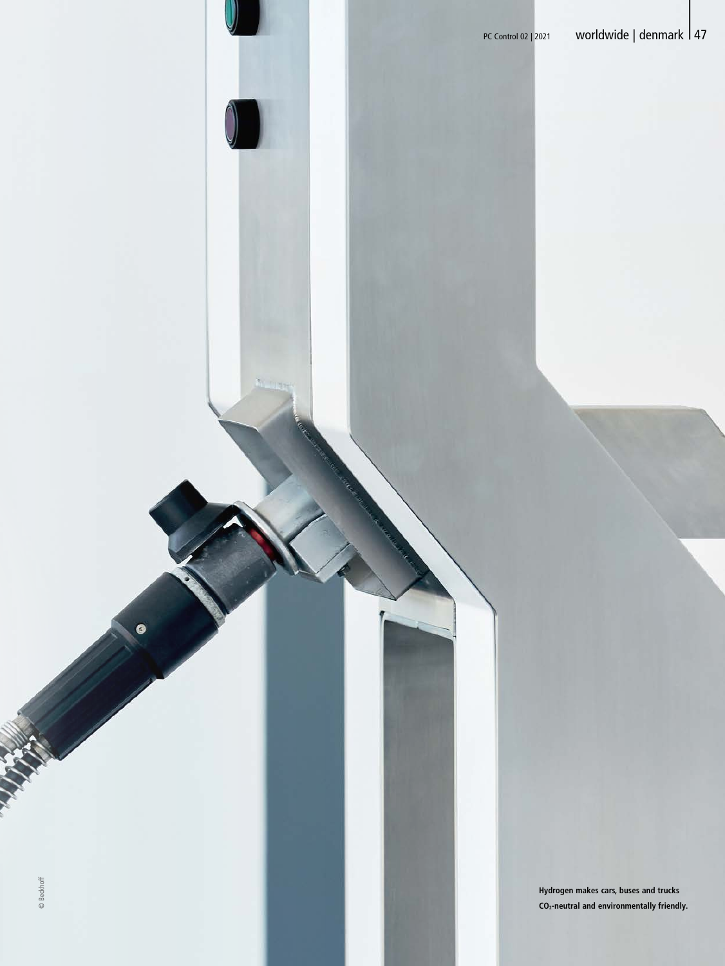**Hydrogen makes cars, buses and trucks CO2-neutral and environmentally friendly.**

G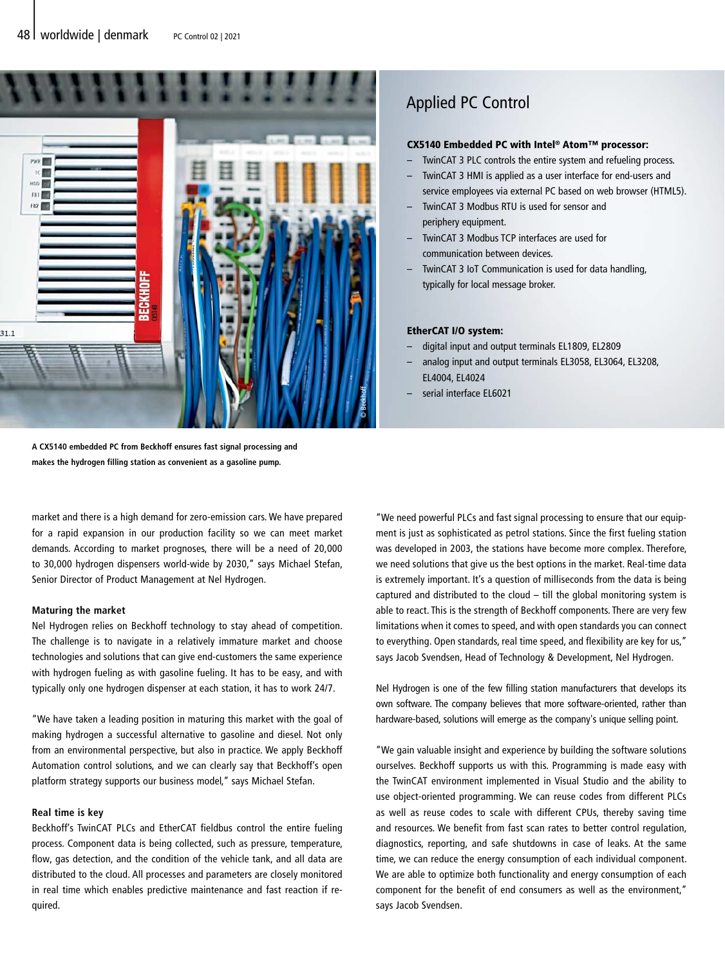

## Applied PC Control

#### CX5140 Embedded PC with Intel® Atom™ processor:

- TwinCAT 3 PLC controls the entire system and refueling process.
- TwinCAT 3 HMI is applied as a user interface for end-users and service employees via external PC based on web browser (HTML5).
- TwinCAT 3 Modbus RTU is used for sensor and periphery equipment.
- TwinCAT 3 Modbus TCP interfaces are used for communication between devices.
- TwinCAT 3 IoT Communication is used for data handling, typically for local message broker.

#### EtherCAT I/O system:

- digital input and output terminals EL1809, EL2809
- analog input and output terminals EL3058, EL3064, EL3208, EL4004, EL4024
	- serial interface EL6021

**A CX5140 embedded PC from Beckhoff ensures fast signal processing and makes the hydrogen filling station as convenient as a gasoline pump.** 

market and there is a high demand for zero-emission cars. We have prepared for a rapid expansion in our production facility so we can meet market demands. According to market prognoses, there will be a need of 20,000 to 30,000 hydrogen dispensers world-wide by 2030," says Michael Stefan, Senior Director of Product Management at Nel Hydrogen.

### **Maturing the market**

Nel Hydrogen relies on Beckhoff technology to stay ahead of competition. The challenge is to navigate in a relatively immature market and choose technologies and solutions that can give end-customers the same experience with hydrogen fueling as with gasoline fueling. It has to be easy, and with typically only one hydrogen dispenser at each station, it has to work 24/7.

"We have taken a leading position in maturing this market with the goal of making hydrogen a successful alternative to gasoline and diesel. Not only from an environmental perspective, but also in practice. We apply Beckhoff Automation control solutions, and we can clearly say that Beckhoff's open platform strategy supports our business model," says Michael Stefan.

#### **Real time is key**

Beckhoff's TwinCAT PLCs and EtherCAT fieldbus control the entire fueling process. Component data is being collected, such as pressure, temperature, flow, gas detection, and the condition of the vehicle tank, and all data are distributed to the cloud. All processes and parameters are closely monitored in real time which enables predictive maintenance and fast reaction if required.

"We need powerful PLCs and fast signal processing to ensure that our equipment is just as sophisticated as petrol stations. Since the first fueling station was developed in 2003, the stations have become more complex. Therefore, we need solutions that give us the best options in the market. Real-time data is extremely important. It's a question of milliseconds from the data is being captured and distributed to the cloud – till the global monitoring system is able to react. This is the strength of Beckhoff components. There are very few limitations when it comes to speed, and with open standards you can connect to everything. Open standards, real time speed, and flexibility are key for us," says Jacob Svendsen, Head of Technology & Development, Nel Hydrogen.

Nel Hydrogen is one of the few filling station manufacturers that develops its own software. The company believes that more software-oriented, rather than hardware-based, solutions will emerge as the company's unique selling point.

"We gain valuable insight and experience by building the software solutions ourselves. Beckhoff supports us with this. Programming is made easy with the TwinCAT environment implemented in Visual Studio and the ability to use object-oriented programming. We can reuse codes from different PLCs as well as reuse codes to scale with different CPUs, thereby saving time and resources. We benefit from fast scan rates to better control regulation, diagnostics, reporting, and safe shutdowns in case of leaks. At the same time, we can reduce the energy consumption of each individual component. We are able to optimize both functionality and energy consumption of each component for the benefit of end consumers as well as the environment," says Jacob Svendsen.